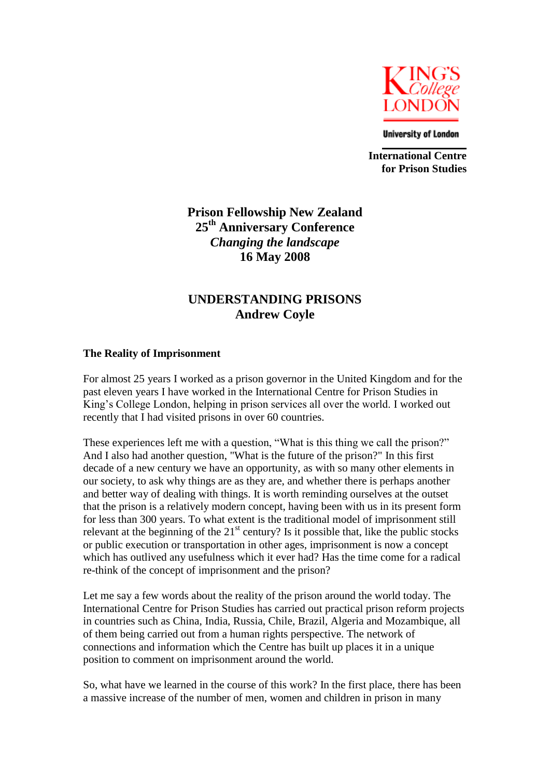

**University of London** 

**International Centre for Prison Studies**

# **Prison Fellowship New Zealand 25th Anniversary Conference** *Changing the landscape* **16 May 2008**

## **UNDERSTANDING PRISONS Andrew Coyle**

#### **The Reality of Imprisonment**

For almost 25 years I worked as a prison governor in the United Kingdom and for the past eleven years I have worked in the International Centre for Prison Studies in King"s College London, helping in prison services all over the world. I worked out recently that I had visited prisons in over 60 countries.

These experiences left me with a question, "What is this thing we call the prison?" And I also had another question, "What is the future of the prison?" In this first decade of a new century we have an opportunity, as with so many other elements in our society, to ask why things are as they are, and whether there is perhaps another and better way of dealing with things. It is worth reminding ourselves at the outset that the prison is a relatively modern concept, having been with us in its present form for less than 300 years. To what extent is the traditional model of imprisonment still relevant at the beginning of the  $21<sup>st</sup>$  century? Is it possible that, like the public stocks or public execution or transportation in other ages, imprisonment is now a concept which has outlived any usefulness which it ever had? Has the time come for a radical re-think of the concept of imprisonment and the prison?

Let me say a few words about the reality of the prison around the world today. The International Centre for Prison Studies has carried out practical prison reform projects in countries such as China, India, Russia, Chile, Brazil, Algeria and Mozambique, all of them being carried out from a human rights perspective. The network of connections and information which the Centre has built up places it in a unique position to comment on imprisonment around the world.

So, what have we learned in the course of this work? In the first place, there has been a massive increase of the number of men, women and children in prison in many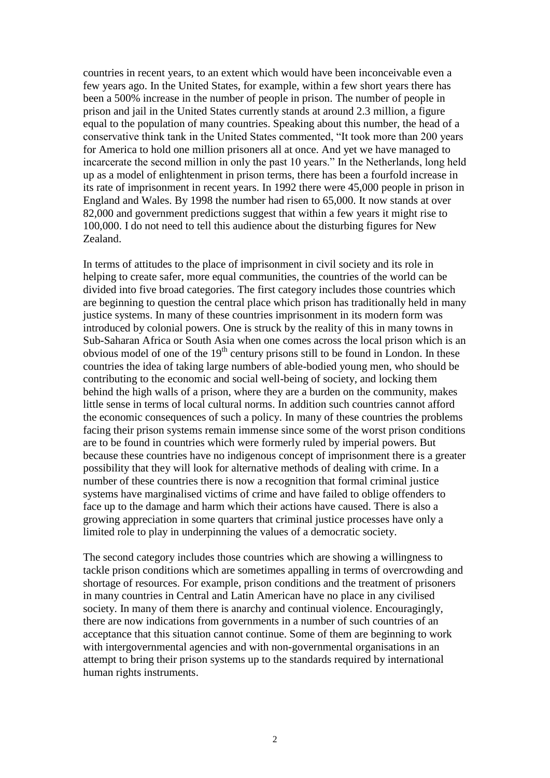countries in recent years, to an extent which would have been inconceivable even a few years ago. In the United States, for example, within a few short years there has been a 500% increase in the number of people in prison. The number of people in prison and jail in the United States currently stands at around 2.3 million, a figure equal to the population of many countries. Speaking about this number, the head of a conservative think tank in the United States commented, "It took more than 200 years for America to hold one million prisoners all at once. And yet we have managed to incarcerate the second million in only the past 10 years." In the Netherlands, long held up as a model of enlightenment in prison terms, there has been a fourfold increase in its rate of imprisonment in recent years. In 1992 there were 45,000 people in prison in England and Wales. By 1998 the number had risen to 65,000. It now stands at over 82,000 and government predictions suggest that within a few years it might rise to 100,000. I do not need to tell this audience about the disturbing figures for New Zealand.

In terms of attitudes to the place of imprisonment in civil society and its role in helping to create safer, more equal communities, the countries of the world can be divided into five broad categories. The first category includes those countries which are beginning to question the central place which prison has traditionally held in many justice systems. In many of these countries imprisonment in its modern form was introduced by colonial powers. One is struck by the reality of this in many towns in Sub-Saharan Africa or South Asia when one comes across the local prison which is an obvious model of one of the  $19<sup>th</sup>$  century prisons still to be found in London. In these countries the idea of taking large numbers of able-bodied young men, who should be contributing to the economic and social well-being of society, and locking them behind the high walls of a prison, where they are a burden on the community, makes little sense in terms of local cultural norms. In addition such countries cannot afford the economic consequences of such a policy. In many of these countries the problems facing their prison systems remain immense since some of the worst prison conditions are to be found in countries which were formerly ruled by imperial powers. But because these countries have no indigenous concept of imprisonment there is a greater possibility that they will look for alternative methods of dealing with crime. In a number of these countries there is now a recognition that formal criminal justice systems have marginalised victims of crime and have failed to oblige offenders to face up to the damage and harm which their actions have caused. There is also a growing appreciation in some quarters that criminal justice processes have only a limited role to play in underpinning the values of a democratic society.

The second category includes those countries which are showing a willingness to tackle prison conditions which are sometimes appalling in terms of overcrowding and shortage of resources. For example, prison conditions and the treatment of prisoners in many countries in Central and Latin American have no place in any civilised society. In many of them there is anarchy and continual violence. Encouragingly, there are now indications from governments in a number of such countries of an acceptance that this situation cannot continue. Some of them are beginning to work with intergovernmental agencies and with non-governmental organisations in an attempt to bring their prison systems up to the standards required by international human rights instruments.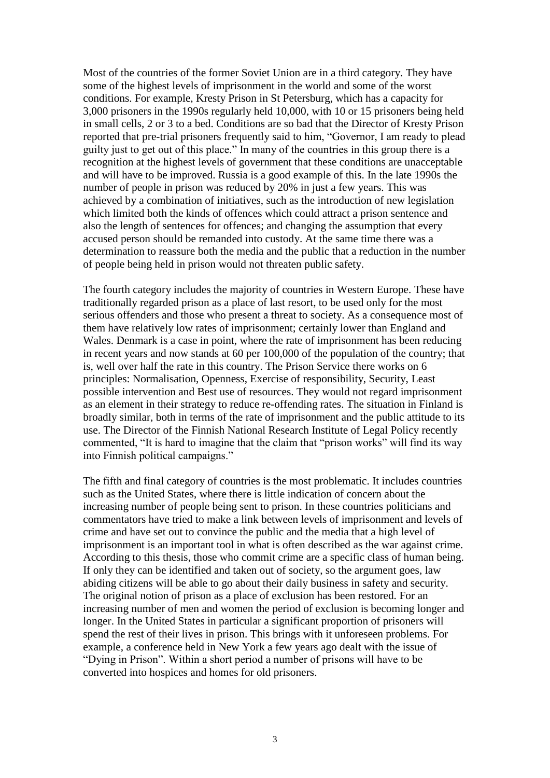Most of the countries of the former Soviet Union are in a third category. They have some of the highest levels of imprisonment in the world and some of the worst conditions. For example, Kresty Prison in St Petersburg, which has a capacity for 3,000 prisoners in the 1990s regularly held 10,000, with 10 or 15 prisoners being held in small cells, 2 or 3 to a bed. Conditions are so bad that the Director of Kresty Prison reported that pre-trial prisoners frequently said to him, "Governor, I am ready to plead guilty just to get out of this place." In many of the countries in this group there is a recognition at the highest levels of government that these conditions are unacceptable and will have to be improved. Russia is a good example of this. In the late 1990s the number of people in prison was reduced by 20% in just a few years. This was achieved by a combination of initiatives, such as the introduction of new legislation which limited both the kinds of offences which could attract a prison sentence and also the length of sentences for offences; and changing the assumption that every accused person should be remanded into custody. At the same time there was a determination to reassure both the media and the public that a reduction in the number of people being held in prison would not threaten public safety.

The fourth category includes the majority of countries in Western Europe. These have traditionally regarded prison as a place of last resort, to be used only for the most serious offenders and those who present a threat to society. As a consequence most of them have relatively low rates of imprisonment; certainly lower than England and Wales. Denmark is a case in point, where the rate of imprisonment has been reducing in recent years and now stands at 60 per 100,000 of the population of the country; that is, well over half the rate in this country. The Prison Service there works on 6 principles: Normalisation, Openness, Exercise of responsibility, Security, Least possible intervention and Best use of resources. They would not regard imprisonment as an element in their strategy to reduce re-offending rates. The situation in Finland is broadly similar, both in terms of the rate of imprisonment and the public attitude to its use. The Director of the Finnish National Research Institute of Legal Policy recently commented, "It is hard to imagine that the claim that "prison works" will find its way into Finnish political campaigns."

The fifth and final category of countries is the most problematic. It includes countries such as the United States, where there is little indication of concern about the increasing number of people being sent to prison. In these countries politicians and commentators have tried to make a link between levels of imprisonment and levels of crime and have set out to convince the public and the media that a high level of imprisonment is an important tool in what is often described as the war against crime. According to this thesis, those who commit crime are a specific class of human being. If only they can be identified and taken out of society, so the argument goes, law abiding citizens will be able to go about their daily business in safety and security. The original notion of prison as a place of exclusion has been restored. For an increasing number of men and women the period of exclusion is becoming longer and longer. In the United States in particular a significant proportion of prisoners will spend the rest of their lives in prison. This brings with it unforeseen problems. For example, a conference held in New York a few years ago dealt with the issue of "Dying in Prison". Within a short period a number of prisons will have to be converted into hospices and homes for old prisoners.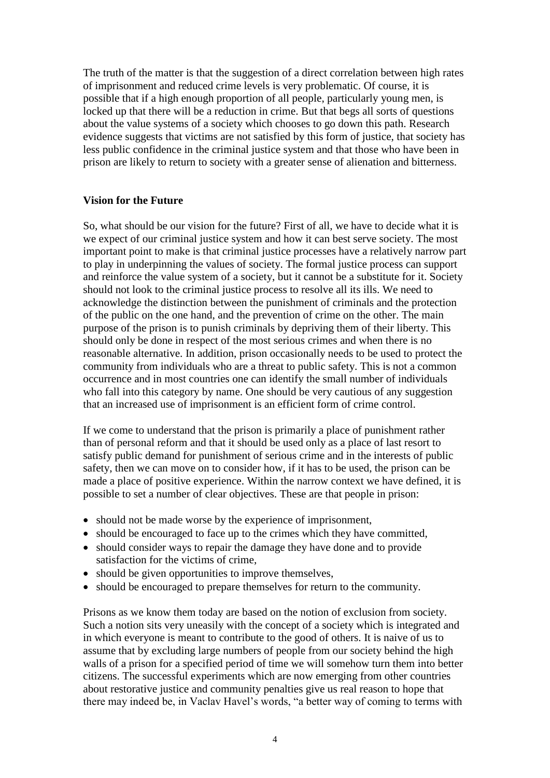The truth of the matter is that the suggestion of a direct correlation between high rates of imprisonment and reduced crime levels is very problematic. Of course, it is possible that if a high enough proportion of all people, particularly young men, is locked up that there will be a reduction in crime. But that begs all sorts of questions about the value systems of a society which chooses to go down this path. Research evidence suggests that victims are not satisfied by this form of justice, that society has less public confidence in the criminal justice system and that those who have been in prison are likely to return to society with a greater sense of alienation and bitterness.

#### **Vision for the Future**

So, what should be our vision for the future? First of all, we have to decide what it is we expect of our criminal justice system and how it can best serve society. The most important point to make is that criminal justice processes have a relatively narrow part to play in underpinning the values of society. The formal justice process can support and reinforce the value system of a society, but it cannot be a substitute for it. Society should not look to the criminal justice process to resolve all its ills. We need to acknowledge the distinction between the punishment of criminals and the protection of the public on the one hand, and the prevention of crime on the other. The main purpose of the prison is to punish criminals by depriving them of their liberty. This should only be done in respect of the most serious crimes and when there is no reasonable alternative. In addition, prison occasionally needs to be used to protect the community from individuals who are a threat to public safety. This is not a common occurrence and in most countries one can identify the small number of individuals who fall into this category by name. One should be very cautious of any suggestion that an increased use of imprisonment is an efficient form of crime control.

If we come to understand that the prison is primarily a place of punishment rather than of personal reform and that it should be used only as a place of last resort to satisfy public demand for punishment of serious crime and in the interests of public safety, then we can move on to consider how, if it has to be used, the prison can be made a place of positive experience. Within the narrow context we have defined, it is possible to set a number of clear objectives. These are that people in prison:

- should not be made worse by the experience of imprisonment,
- should be encouraged to face up to the crimes which they have committed,
- should consider ways to repair the damage they have done and to provide satisfaction for the victims of crime,
- should be given opportunities to improve themselves,
- should be encouraged to prepare themselves for return to the community.

Prisons as we know them today are based on the notion of exclusion from society. Such a notion sits very uneasily with the concept of a society which is integrated and in which everyone is meant to contribute to the good of others. It is naive of us to assume that by excluding large numbers of people from our society behind the high walls of a prison for a specified period of time we will somehow turn them into better citizens. The successful experiments which are now emerging from other countries about restorative justice and community penalties give us real reason to hope that there may indeed be, in Vaclav Havel"s words, "a better way of coming to terms with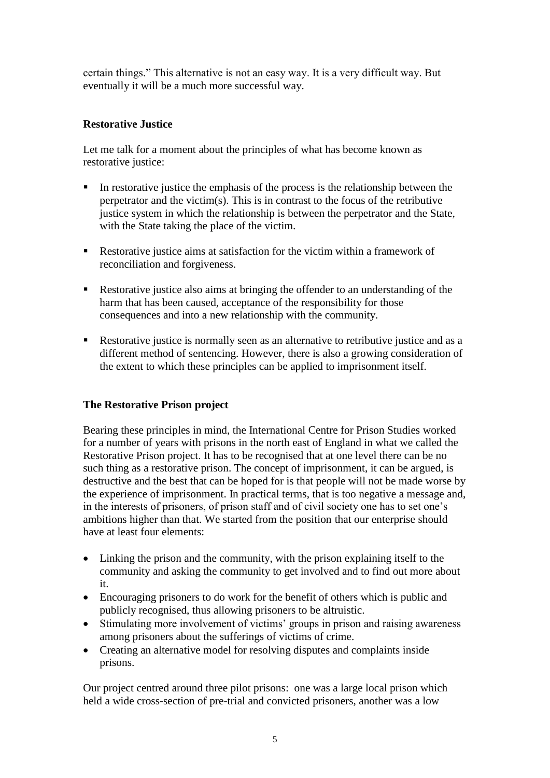certain things." This alternative is not an easy way. It is a very difficult way. But eventually it will be a much more successful way.

### **Restorative Justice**

Let me talk for a moment about the principles of what has become known as restorative justice:

- In restorative justice the emphasis of the process is the relationship between the perpetrator and the victim(s). This is in contrast to the focus of the retributive justice system in which the relationship is between the perpetrator and the State, with the State taking the place of the victim.
- Restorative justice aims at satisfaction for the victim within a framework of reconciliation and forgiveness.
- Restorative justice also aims at bringing the offender to an understanding of the harm that has been caused, acceptance of the responsibility for those consequences and into a new relationship with the community.
- Restorative justice is normally seen as an alternative to retributive justice and as a different method of sentencing. However, there is also a growing consideration of the extent to which these principles can be applied to imprisonment itself.

## **The Restorative Prison project**

Bearing these principles in mind, the International Centre for Prison Studies worked for a number of years with prisons in the north east of England in what we called the Restorative Prison project. It has to be recognised that at one level there can be no such thing as a restorative prison. The concept of imprisonment, it can be argued, is destructive and the best that can be hoped for is that people will not be made worse by the experience of imprisonment. In practical terms, that is too negative a message and, in the interests of prisoners, of prison staff and of civil society one has to set one"s ambitions higher than that. We started from the position that our enterprise should have at least four elements:

- Linking the prison and the community, with the prison explaining itself to the community and asking the community to get involved and to find out more about it.
- Encouraging prisoners to do work for the benefit of others which is public and publicly recognised, thus allowing prisoners to be altruistic.
- Stimulating more involvement of victims' groups in prison and raising awareness among prisoners about the sufferings of victims of crime.
- Creating an alternative model for resolving disputes and complaints inside prisons.

Our project centred around three pilot prisons: one was a large local prison which held a wide cross-section of pre-trial and convicted prisoners, another was a low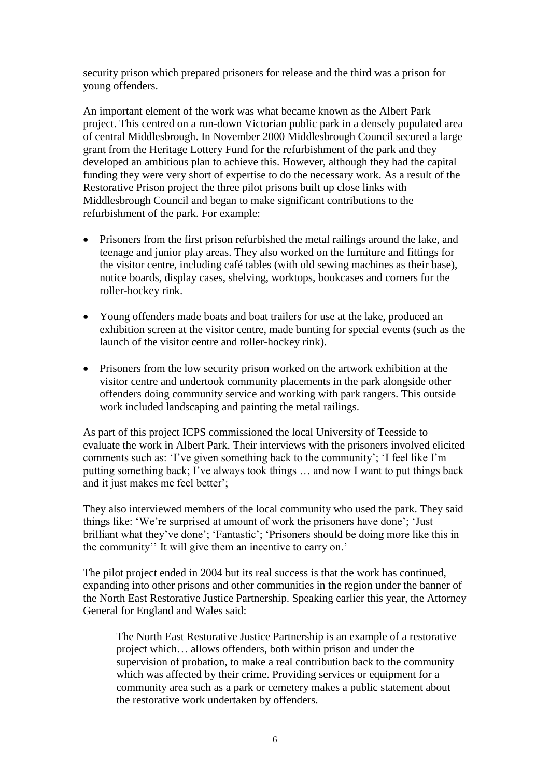security prison which prepared prisoners for release and the third was a prison for young offenders.

An important element of the work was what became known as the Albert Park project. This centred on a run-down Victorian public park in a densely populated area of central Middlesbrough. In November 2000 Middlesbrough Council secured a large grant from the Heritage Lottery Fund for the refurbishment of the park and they developed an ambitious plan to achieve this. However, although they had the capital funding they were very short of expertise to do the necessary work. As a result of the Restorative Prison project the three pilot prisons built up close links with Middlesbrough Council and began to make significant contributions to the refurbishment of the park. For example:

- Prisoners from the first prison refurbished the metal railings around the lake, and teenage and junior play areas. They also worked on the furniture and fittings for the visitor centre, including café tables (with old sewing machines as their base), notice boards, display cases, shelving, worktops, bookcases and corners for the roller-hockey rink.
- Young offenders made boats and boat trailers for use at the lake, produced an exhibition screen at the visitor centre, made bunting for special events (such as the launch of the visitor centre and roller-hockey rink).
- Prisoners from the low security prison worked on the artwork exhibition at the visitor centre and undertook community placements in the park alongside other offenders doing community service and working with park rangers. This outside work included landscaping and painting the metal railings.

As part of this project ICPS commissioned the local University of Teesside to evaluate the work in Albert Park. Their interviews with the prisoners involved elicited comments such as: 'I've given something back to the community'; 'I feel like I'm putting something back; I"ve always took things … and now I want to put things back and it just makes me feel better';

They also interviewed members of the local community who used the park. They said things like: "We"re surprised at amount of work the prisoners have done"; "Just brilliant what they've done'; 'Fantastic'; 'Prisoners should be doing more like this in the community" It will give them an incentive to carry on."

The pilot project ended in 2004 but its real success is that the work has continued, expanding into other prisons and other communities in the region under the banner of the North East Restorative Justice Partnership. Speaking earlier this year, the Attorney General for England and Wales said:

The North East Restorative Justice Partnership is an example of a restorative project which… allows offenders, both within prison and under the supervision of probation, to make a real contribution back to the community which was affected by their crime. Providing services or equipment for a community area such as a park or cemetery makes a public statement about the restorative work undertaken by offenders.